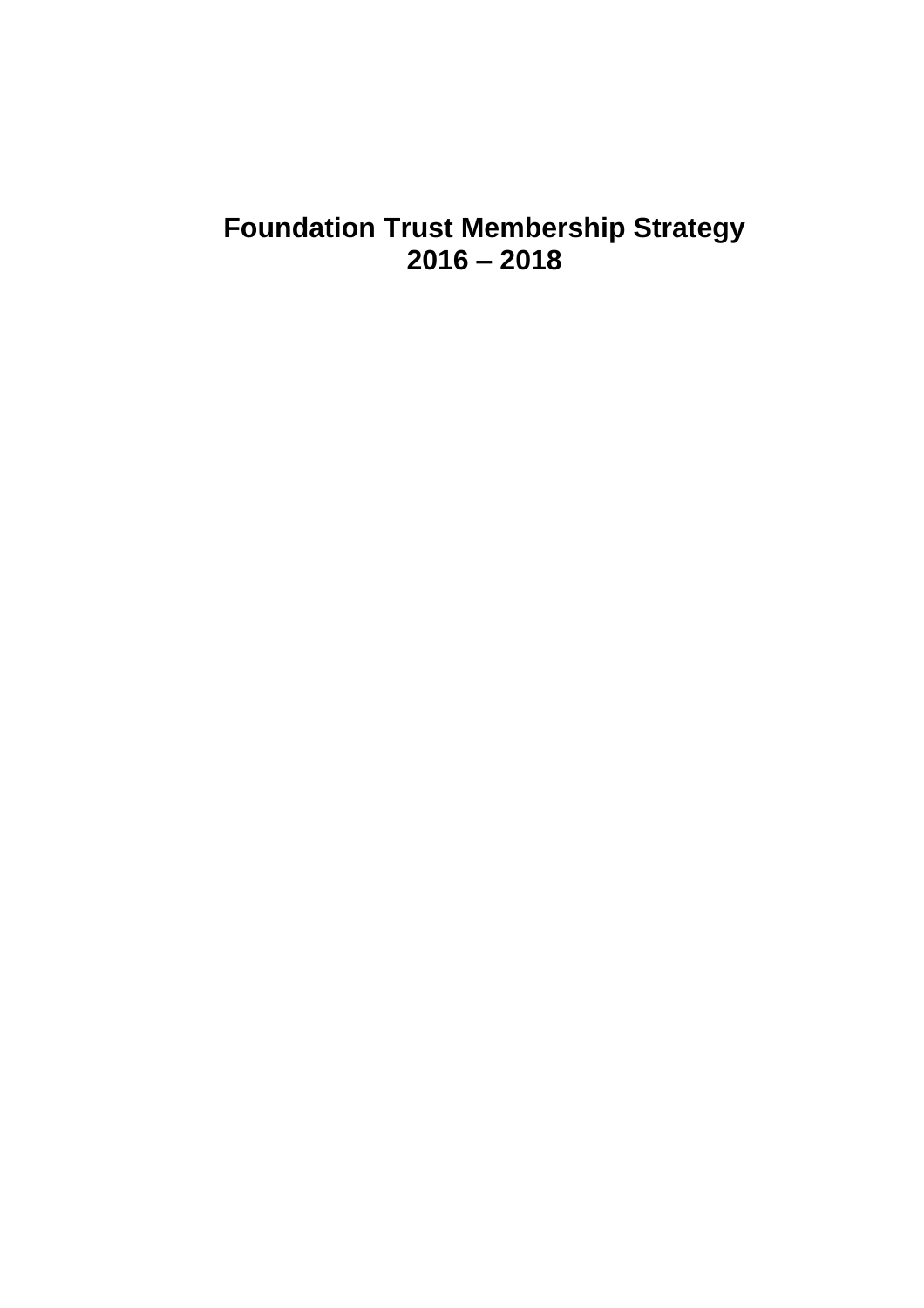# **Foundation Trust Membership Strategy 2016 – 2018**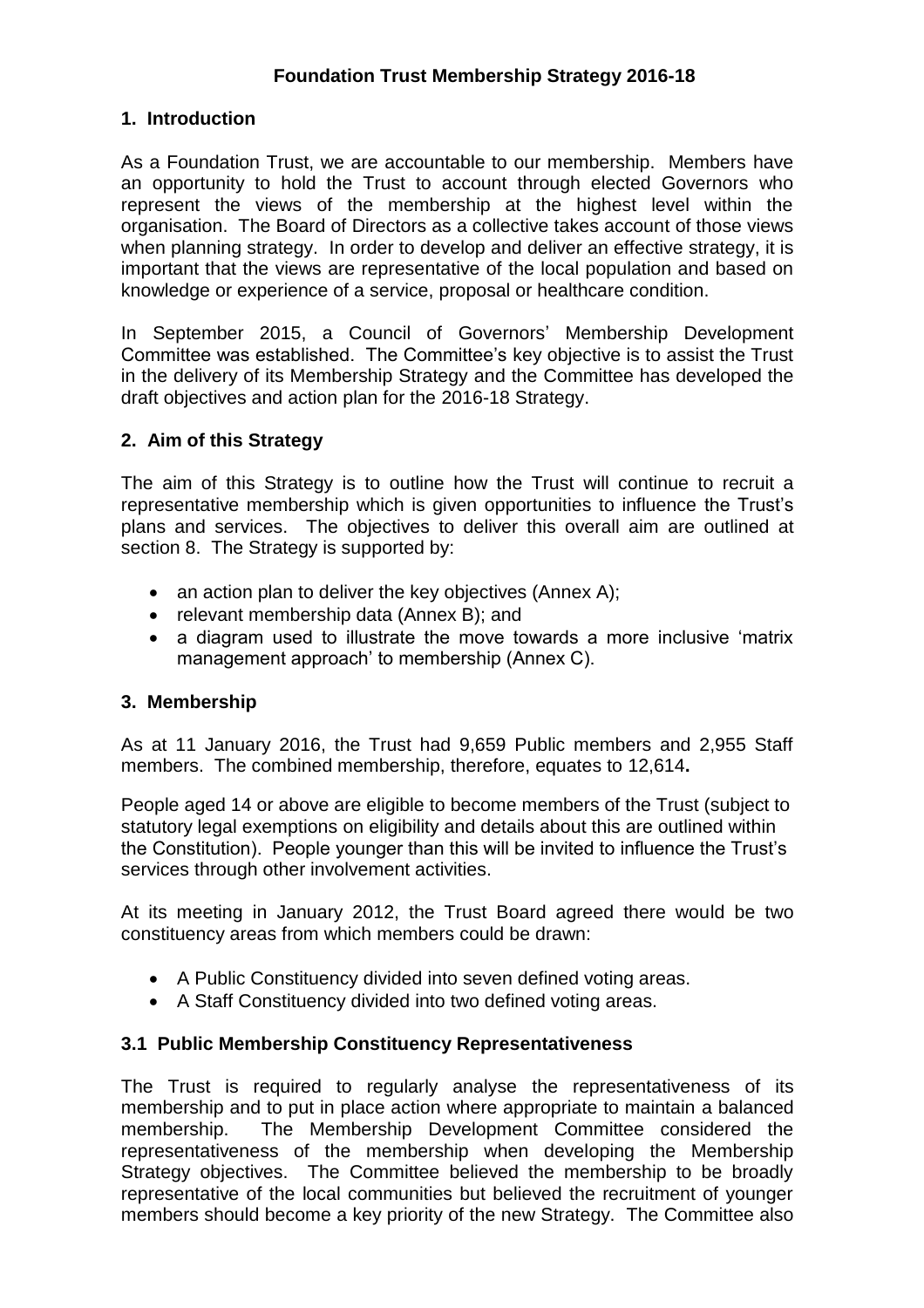## **1. Introduction**

As a Foundation Trust, we are accountable to our membership. Members have an opportunity to hold the Trust to account through elected Governors who represent the views of the membership at the highest level within the organisation. The Board of Directors as a collective takes account of those views when planning strategy. In order to develop and deliver an effective strategy, it is important that the views are representative of the local population and based on knowledge or experience of a service, proposal or healthcare condition.

In September 2015, a Council of Governors' Membership Development Committee was established. The Committee's key objective is to assist the Trust in the delivery of its Membership Strategy and the Committee has developed the draft objectives and action plan for the 2016-18 Strategy.

## **2. Aim of this Strategy**

The aim of this Strategy is to outline how the Trust will continue to recruit a representative membership which is given opportunities to influence the Trust's plans and services. The objectives to deliver this overall aim are outlined at section 8. The Strategy is supported by:

- an action plan to deliver the key objectives (Annex A);
- relevant membership data (Annex B); and
- a diagram used to illustrate the move towards a more inclusive 'matrix management approach' to membership (Annex C).

#### **3. Membership**

As at 11 January 2016, the Trust had 9,659 Public members and 2,955 Staff members. The combined membership, therefore, equates to 12,614**.** 

People aged 14 or above are eligible to become members of the Trust (subject to statutory legal exemptions on eligibility and details about this are outlined within the Constitution). People younger than this will be invited to influence the Trust's services through other involvement activities.

At its meeting in January 2012, the Trust Board agreed there would be two constituency areas from which members could be drawn:

- A Public Constituency divided into seven defined voting areas.
- A Staff Constituency divided into two defined voting areas.

#### **3.1 Public Membership Constituency Representativeness**

The Trust is required to regularly analyse the representativeness of its membership and to put in place action where appropriate to maintain a balanced membership. The Membership Development Committee considered the representativeness of the membership when developing the Membership Strategy objectives. The Committee believed the membership to be broadly representative of the local communities but believed the recruitment of younger members should become a key priority of the new Strategy. The Committee also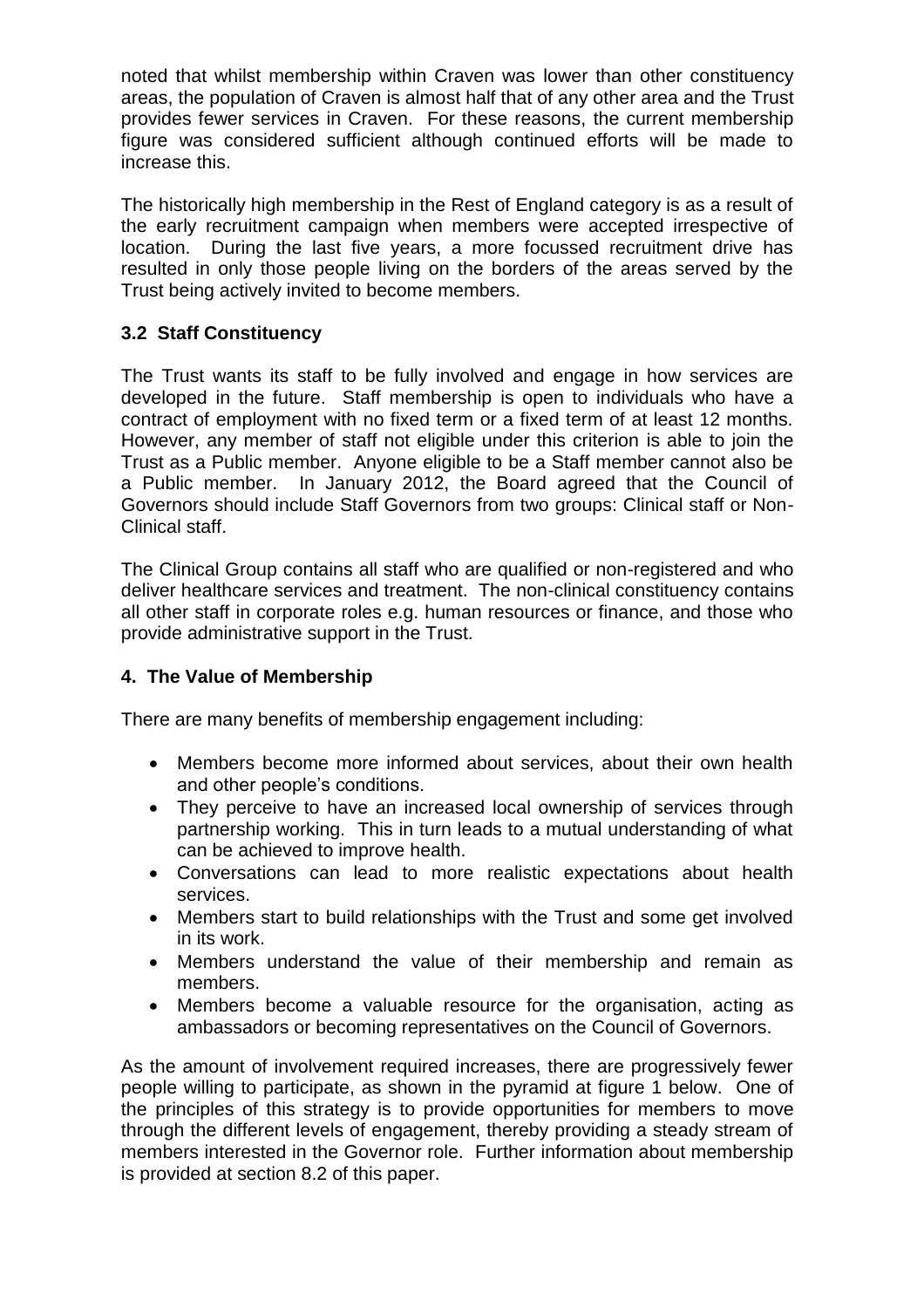noted that whilst membership within Craven was lower than other constituency areas, the population of Craven is almost half that of any other area and the Trust provides fewer services in Craven. For these reasons, the current membership figure was considered sufficient although continued efforts will be made to increase this.

The historically high membership in the Rest of England category is as a result of the early recruitment campaign when members were accepted irrespective of location. During the last five years, a more focussed recruitment drive has resulted in only those people living on the borders of the areas served by the Trust being actively invited to become members.

## **3.2 Staff Constituency**

The Trust wants its staff to be fully involved and engage in how services are developed in the future. Staff membership is open to individuals who have a contract of employment with no fixed term or a fixed term of at least 12 months. However, any member of staff not eligible under this criterion is able to join the Trust as a Public member. Anyone eligible to be a Staff member cannot also be a Public member. In January 2012, the Board agreed that the Council of Governors should include Staff Governors from two groups: Clinical staff or Non-Clinical staff.

The Clinical Group contains all staff who are qualified or non-registered and who deliver healthcare services and treatment. The non-clinical constituency contains all other staff in corporate roles e.g. human resources or finance, and those who provide administrative support in the Trust.

#### **4. The Value of Membership**

There are many benefits of membership engagement including:

- Members become more informed about services, about their own health and other people's conditions.
- They perceive to have an increased local ownership of services through partnership working. This in turn leads to a mutual understanding of what can be achieved to improve health.
- Conversations can lead to more realistic expectations about health services.
- Members start to build relationships with the Trust and some get involved in its work.
- Members understand the value of their membership and remain as members.
- Members become a valuable resource for the organisation, acting as ambassadors or becoming representatives on the Council of Governors.

As the amount of involvement required increases, there are progressively fewer people willing to participate, as shown in the pyramid at figure 1 below. One of the principles of this strategy is to provide opportunities for members to move through the different levels of engagement, thereby providing a steady stream of members interested in the Governor role. Further information about membership is provided at section 8.2 of this paper.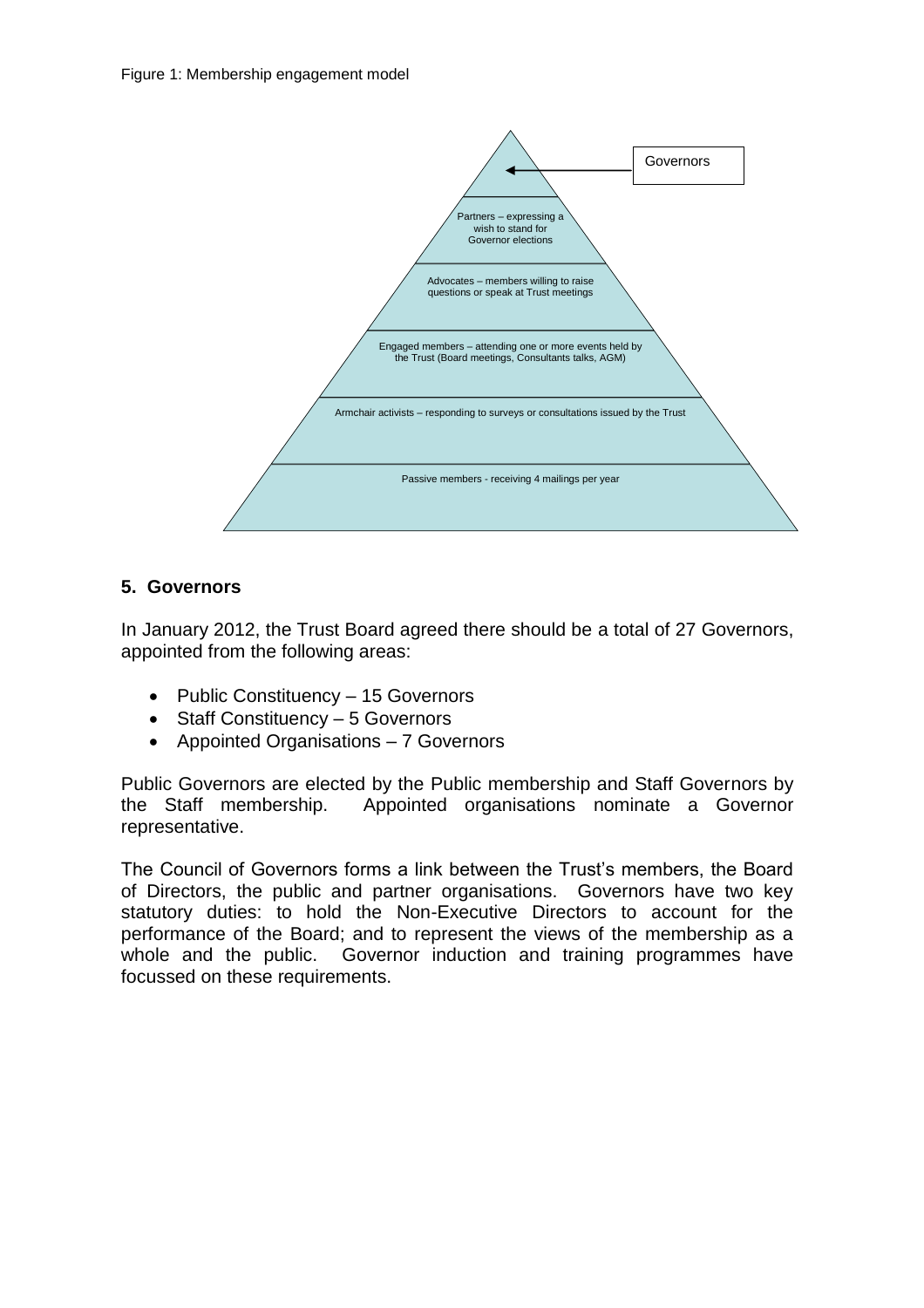

## **5. Governors**

In January 2012, the Trust Board agreed there should be a total of 27 Governors, appointed from the following areas:

- Public Constituency 15 Governors
- Staff Constituency 5 Governors
- Appointed Organisations 7 Governors

Public Governors are elected by the Public membership and Staff Governors by the Staff membership. Appointed organisations nominate a Governor representative.

The Council of Governors forms a link between the Trust's members, the Board of Directors, the public and partner organisations. Governors have two key statutory duties: to hold the Non-Executive Directors to account for the performance of the Board; and to represent the views of the membership as a whole and the public. Governor induction and training programmes have focussed on these requirements.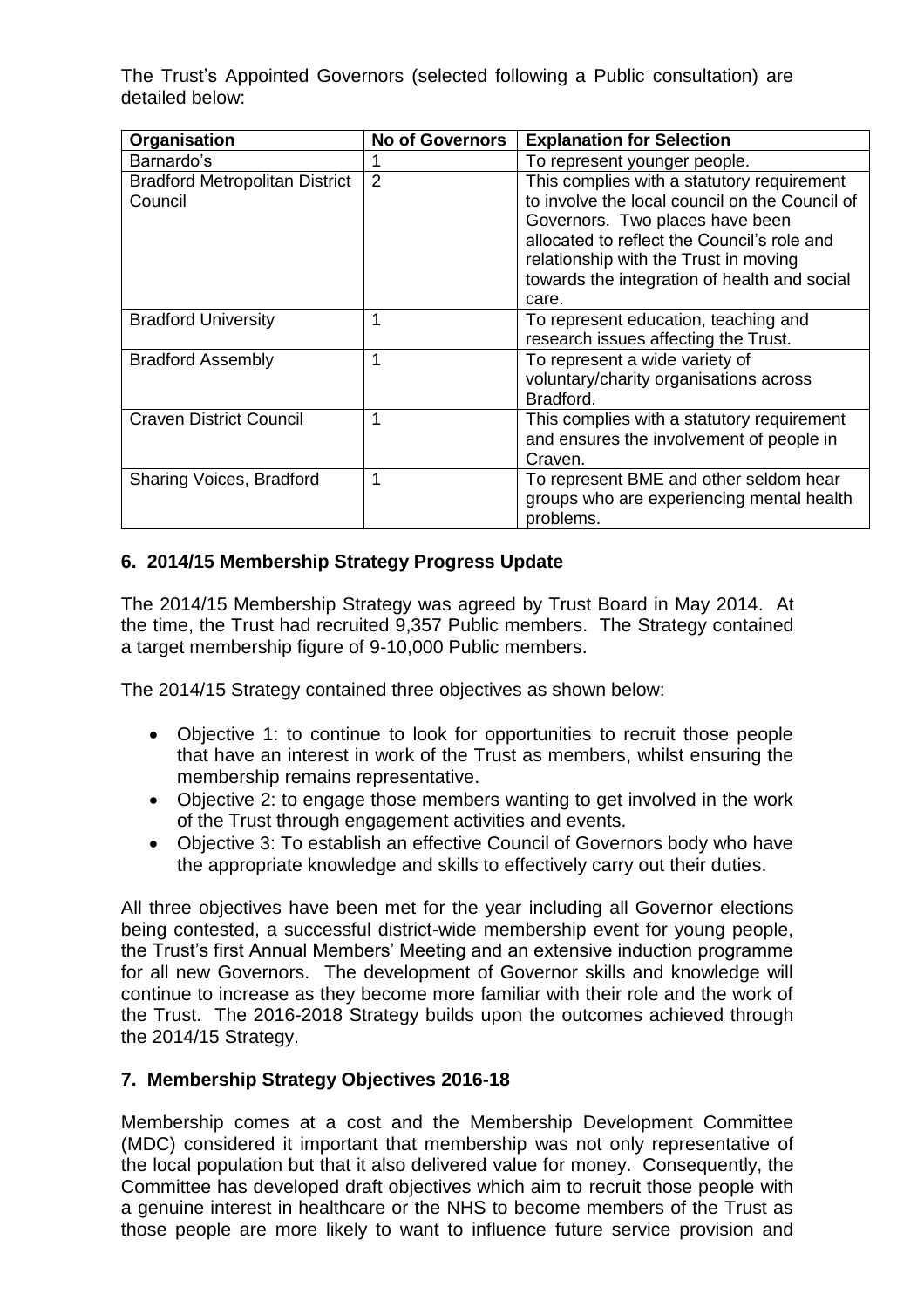The Trust's Appointed Governors (selected following a Public consultation) are detailed below:

| Organisation                                     | <b>No of Governors</b> | <b>Explanation for Selection</b>                                                                                                                                                                                                                                                 |
|--------------------------------------------------|------------------------|----------------------------------------------------------------------------------------------------------------------------------------------------------------------------------------------------------------------------------------------------------------------------------|
| Barnardo's                                       |                        | To represent younger people.                                                                                                                                                                                                                                                     |
| <b>Bradford Metropolitan District</b><br>Council | 2                      | This complies with a statutory requirement<br>to involve the local council on the Council of<br>Governors. Two places have been<br>allocated to reflect the Council's role and<br>relationship with the Trust in moving<br>towards the integration of health and social<br>care. |
| <b>Bradford University</b>                       | 1                      | To represent education, teaching and<br>research issues affecting the Trust.                                                                                                                                                                                                     |
| <b>Bradford Assembly</b>                         | 1                      | To represent a wide variety of<br>voluntary/charity organisations across<br>Bradford.                                                                                                                                                                                            |
| <b>Craven District Council</b>                   | 1                      | This complies with a statutory requirement<br>and ensures the involvement of people in<br>Craven.                                                                                                                                                                                |
| Sharing Voices, Bradford                         | 1                      | To represent BME and other seldom hear<br>groups who are experiencing mental health<br>problems.                                                                                                                                                                                 |

## **6. 2014/15 Membership Strategy Progress Update**

The 2014/15 Membership Strategy was agreed by Trust Board in May 2014. At the time, the Trust had recruited 9,357 Public members. The Strategy contained a target membership figure of 9-10,000 Public members.

The 2014/15 Strategy contained three objectives as shown below:

- Objective 1: to continue to look for opportunities to recruit those people that have an interest in work of the Trust as members, whilst ensuring the membership remains representative.
- Objective 2: to engage those members wanting to get involved in the work of the Trust through engagement activities and events.
- Objective 3: To establish an effective Council of Governors body who have the appropriate knowledge and skills to effectively carry out their duties.

All three objectives have been met for the year including all Governor elections being contested, a successful district-wide membership event for young people, the Trust's first Annual Members' Meeting and an extensive induction programme for all new Governors. The development of Governor skills and knowledge will continue to increase as they become more familiar with their role and the work of the Trust. The 2016-2018 Strategy builds upon the outcomes achieved through the 2014/15 Strategy.

#### **7. Membership Strategy Objectives 2016-18**

Membership comes at a cost and the Membership Development Committee (MDC) considered it important that membership was not only representative of the local population but that it also delivered value for money. Consequently, the Committee has developed draft objectives which aim to recruit those people with a genuine interest in healthcare or the NHS to become members of the Trust as those people are more likely to want to influence future service provision and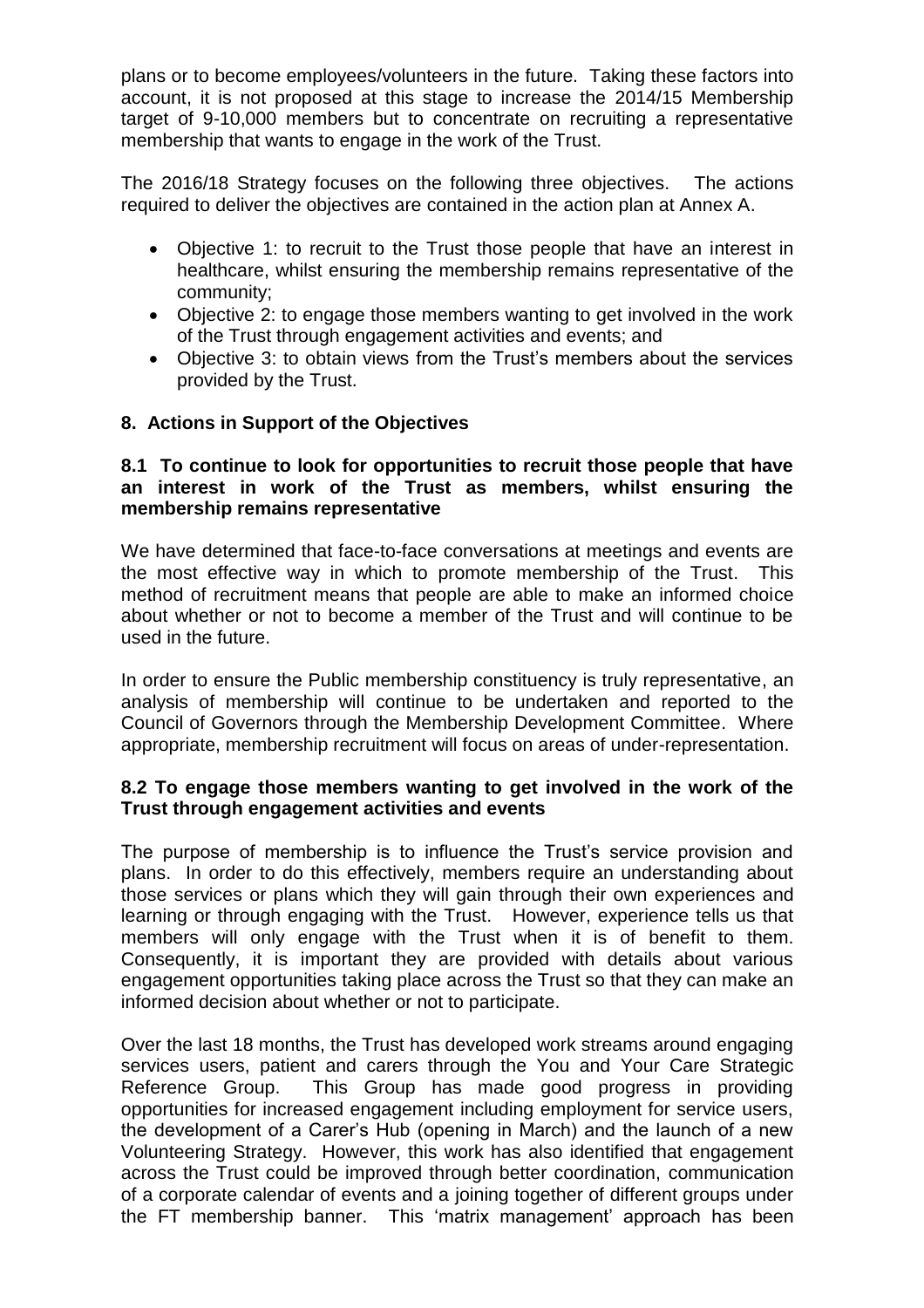plans or to become employees/volunteers in the future. Taking these factors into account, it is not proposed at this stage to increase the 2014/15 Membership target of 9-10,000 members but to concentrate on recruiting a representative membership that wants to engage in the work of the Trust.

The 2016/18 Strategy focuses on the following three objectives. The actions required to deliver the objectives are contained in the action plan at Annex A.

- Objective 1: to recruit to the Trust those people that have an interest in healthcare, whilst ensuring the membership remains representative of the community;
- Objective 2: to engage those members wanting to get involved in the work of the Trust through engagement activities and events; and
- Objective 3: to obtain views from the Trust's members about the services provided by the Trust.

#### **8. Actions in Support of the Objectives**

#### **8.1 To continue to look for opportunities to recruit those people that have an interest in work of the Trust as members, whilst ensuring the membership remains representative**

We have determined that face-to-face conversations at meetings and events are the most effective way in which to promote membership of the Trust. This method of recruitment means that people are able to make an informed choice about whether or not to become a member of the Trust and will continue to be used in the future.

In order to ensure the Public membership constituency is truly representative, an analysis of membership will continue to be undertaken and reported to the Council of Governors through the Membership Development Committee. Where appropriate, membership recruitment will focus on areas of under-representation.

#### **8.2 To engage those members wanting to get involved in the work of the Trust through engagement activities and events**

The purpose of membership is to influence the Trust's service provision and plans. In order to do this effectively, members require an understanding about those services or plans which they will gain through their own experiences and learning or through engaging with the Trust. However, experience tells us that members will only engage with the Trust when it is of benefit to them. Consequently, it is important they are provided with details about various engagement opportunities taking place across the Trust so that they can make an informed decision about whether or not to participate.

Over the last 18 months, the Trust has developed work streams around engaging services users, patient and carers through the You and Your Care Strategic Reference Group. This Group has made good progress in providing opportunities for increased engagement including employment for service users, the development of a Carer's Hub (opening in March) and the launch of a new Volunteering Strategy. However, this work has also identified that engagement across the Trust could be improved through better coordination, communication of a corporate calendar of events and a joining together of different groups under the FT membership banner. This 'matrix management' approach has been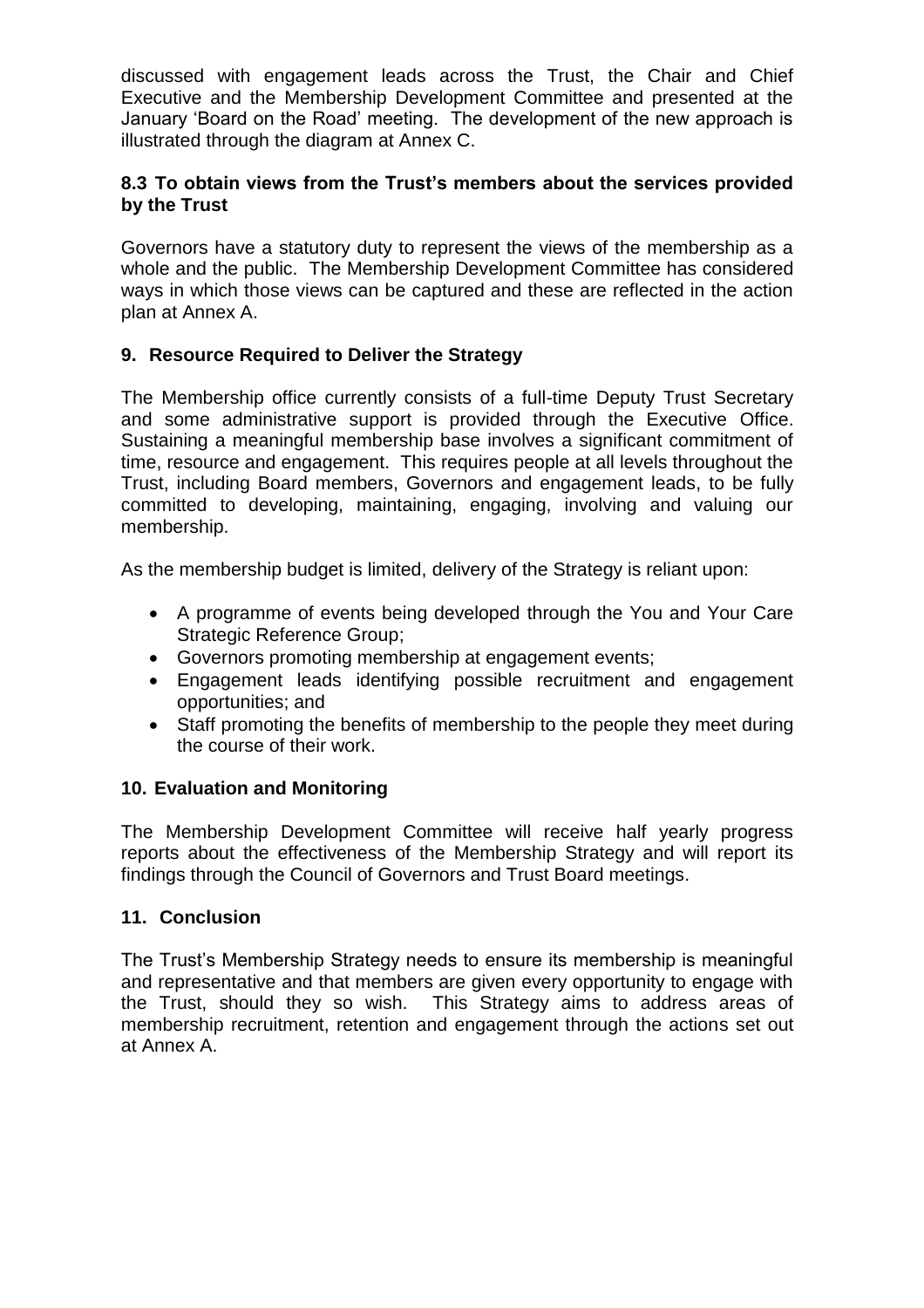discussed with engagement leads across the Trust, the Chair and Chief Executive and the Membership Development Committee and presented at the January 'Board on the Road' meeting. The development of the new approach is illustrated through the diagram at Annex C.

## **8.3 To obtain views from the Trust's members about the services provided by the Trust**

Governors have a statutory duty to represent the views of the membership as a whole and the public. The Membership Development Committee has considered ways in which those views can be captured and these are reflected in the action plan at Annex A.

## **9. Resource Required to Deliver the Strategy**

The Membership office currently consists of a full-time Deputy Trust Secretary and some administrative support is provided through the Executive Office. Sustaining a meaningful membership base involves a significant commitment of time, resource and engagement. This requires people at all levels throughout the Trust, including Board members, Governors and engagement leads, to be fully committed to developing, maintaining, engaging, involving and valuing our membership.

As the membership budget is limited, delivery of the Strategy is reliant upon:

- A programme of events being developed through the You and Your Care Strategic Reference Group;
- Governors promoting membership at engagement events;
- Engagement leads identifying possible recruitment and engagement opportunities; and
- Staff promoting the benefits of membership to the people they meet during the course of their work.

#### **10. Evaluation and Monitoring**

The Membership Development Committee will receive half yearly progress reports about the effectiveness of the Membership Strategy and will report its findings through the Council of Governors and Trust Board meetings.

#### **11. Conclusion**

The Trust's Membership Strategy needs to ensure its membership is meaningful and representative and that members are given every opportunity to engage with the Trust, should they so wish. This Strategy aims to address areas of membership recruitment, retention and engagement through the actions set out at Annex A.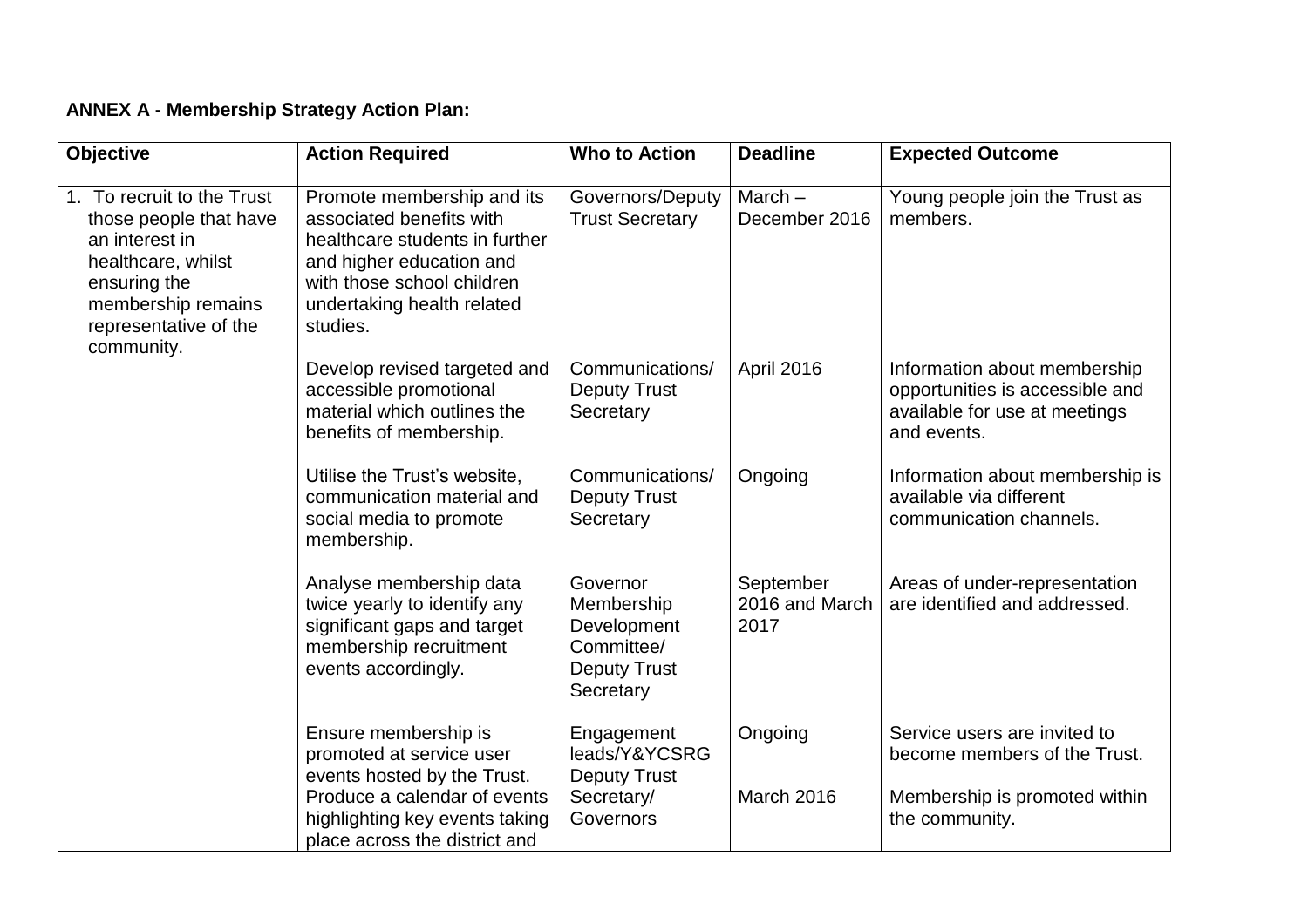## **ANNEX A - Membership Strategy Action Plan:**

| <b>Objective</b>                                                                                                                                                          | <b>Action Required</b>                                                                                                                                                                       | <b>Who to Action</b>                                                                    | <b>Deadline</b>                     | <b>Expected Outcome</b>                                                                                         |
|---------------------------------------------------------------------------------------------------------------------------------------------------------------------------|----------------------------------------------------------------------------------------------------------------------------------------------------------------------------------------------|-----------------------------------------------------------------------------------------|-------------------------------------|-----------------------------------------------------------------------------------------------------------------|
| 1. To recruit to the Trust<br>those people that have<br>an interest in<br>healthcare, whilst<br>ensuring the<br>membership remains<br>representative of the<br>community. | Promote membership and its<br>associated benefits with<br>healthcare students in further<br>and higher education and<br>with those school children<br>undertaking health related<br>studies. | Governors/Deputy<br><b>Trust Secretary</b>                                              | $March -$<br>December 2016          | Young people join the Trust as<br>members.                                                                      |
|                                                                                                                                                                           | Develop revised targeted and<br>accessible promotional<br>material which outlines the<br>benefits of membership.                                                                             | Communications/<br><b>Deputy Trust</b><br>Secretary                                     | April 2016                          | Information about membership<br>opportunities is accessible and<br>available for use at meetings<br>and events. |
|                                                                                                                                                                           | Utilise the Trust's website,<br>communication material and<br>social media to promote<br>membership.                                                                                         | Communications/<br><b>Deputy Trust</b><br>Secretary                                     | Ongoing                             | Information about membership is<br>available via different<br>communication channels.                           |
|                                                                                                                                                                           | Analyse membership data<br>twice yearly to identify any<br>significant gaps and target<br>membership recruitment<br>events accordingly.                                                      | Governor<br>Membership<br>Development<br>Committee/<br><b>Deputy Trust</b><br>Secretary | September<br>2016 and March<br>2017 | Areas of under-representation<br>are identified and addressed.                                                  |
|                                                                                                                                                                           | Ensure membership is<br>promoted at service user<br>events hosted by the Trust.                                                                                                              | Engagement<br>leads/Y&YCSRG<br><b>Deputy Trust</b>                                      | Ongoing                             | Service users are invited to<br>become members of the Trust.                                                    |
|                                                                                                                                                                           | Produce a calendar of events<br>highlighting key events taking<br>place across the district and                                                                                              | Secretary/<br>Governors                                                                 | March 2016                          | Membership is promoted within<br>the community.                                                                 |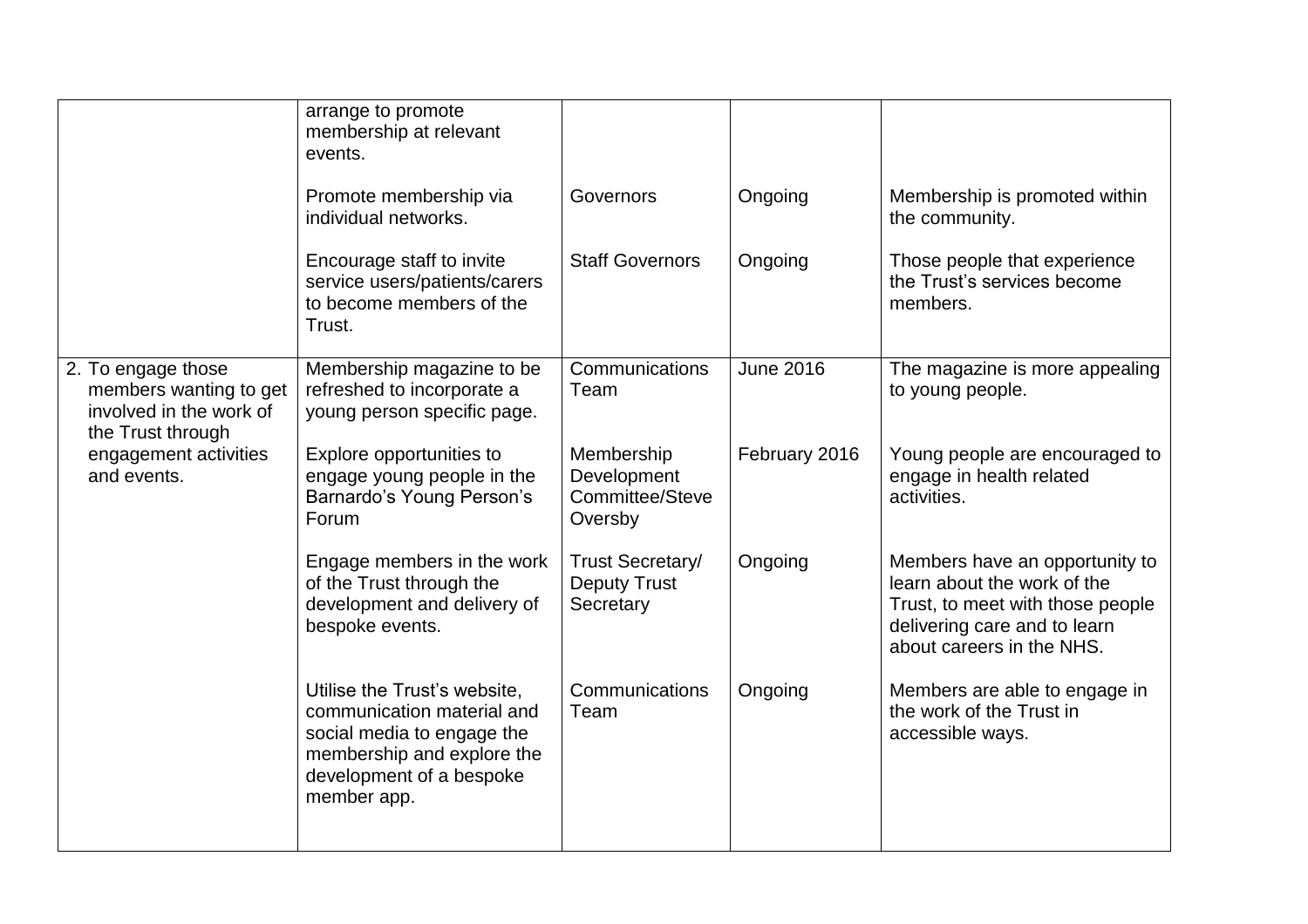|                                                                                              | arrange to promote<br>membership at relevant<br>events.                                                                                                           |                                                             |                  |                                                                                                                                                                |
|----------------------------------------------------------------------------------------------|-------------------------------------------------------------------------------------------------------------------------------------------------------------------|-------------------------------------------------------------|------------------|----------------------------------------------------------------------------------------------------------------------------------------------------------------|
|                                                                                              | Promote membership via<br>individual networks.                                                                                                                    | Governors                                                   | Ongoing          | Membership is promoted within<br>the community.                                                                                                                |
|                                                                                              | Encourage staff to invite<br>service users/patients/carers<br>to become members of the<br>Trust.                                                                  | <b>Staff Governors</b>                                      | Ongoing          | Those people that experience<br>the Trust's services become<br>members.                                                                                        |
| 2. To engage those<br>members wanting to get<br>involved in the work of<br>the Trust through | Membership magazine to be<br>refreshed to incorporate a<br>young person specific page.                                                                            | Communications<br>Team                                      | <b>June 2016</b> | The magazine is more appealing<br>to young people.                                                                                                             |
| engagement activities<br>and events.                                                         | Explore opportunities to<br>engage young people in the<br>Barnardo's Young Person's<br>Forum                                                                      | Membership<br>Development<br>Committee/Steve<br>Oversby     | February 2016    | Young people are encouraged to<br>engage in health related<br>activities.                                                                                      |
|                                                                                              | Engage members in the work<br>of the Trust through the<br>development and delivery of<br>bespoke events.                                                          | <b>Trust Secretary/</b><br><b>Deputy Trust</b><br>Secretary | Ongoing          | Members have an opportunity to<br>learn about the work of the<br>Trust, to meet with those people<br>delivering care and to learn<br>about careers in the NHS. |
|                                                                                              | Utilise the Trust's website,<br>communication material and<br>social media to engage the<br>membership and explore the<br>development of a bespoke<br>member app. | Communications<br>Team                                      | Ongoing          | Members are able to engage in<br>the work of the Trust in<br>accessible ways.                                                                                  |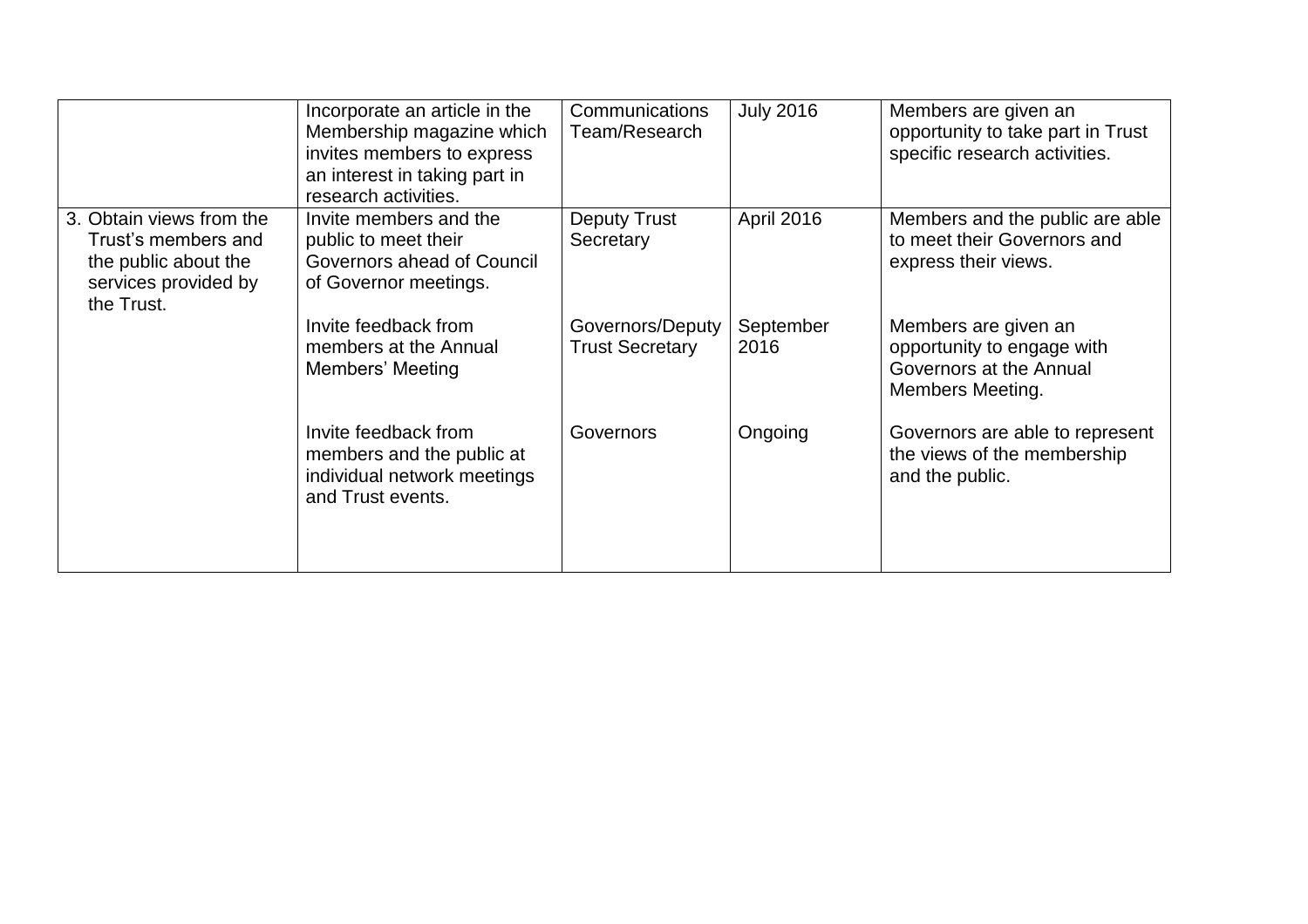|                                                                                                               | Incorporate an article in the<br>Membership magazine which<br>invites members to express<br>an interest in taking part in<br>research activities. | Communications<br>Team/Research            | <b>July 2016</b>  | Members are given an<br>opportunity to take part in Trust<br>specific research activities.               |
|---------------------------------------------------------------------------------------------------------------|---------------------------------------------------------------------------------------------------------------------------------------------------|--------------------------------------------|-------------------|----------------------------------------------------------------------------------------------------------|
| 3. Obtain views from the<br>Trust's members and<br>the public about the<br>services provided by<br>the Trust. | Invite members and the<br>public to meet their<br>Governors ahead of Council<br>of Governor meetings.                                             | <b>Deputy Trust</b><br>Secretary           | April 2016        | Members and the public are able<br>to meet their Governors and<br>express their views.                   |
|                                                                                                               | Invite feedback from<br>members at the Annual<br>Members' Meeting                                                                                 | Governors/Deputy<br><b>Trust Secretary</b> | September<br>2016 | Members are given an<br>opportunity to engage with<br>Governors at the Annual<br><b>Members Meeting.</b> |
|                                                                                                               | Invite feedback from<br>members and the public at<br>individual network meetings<br>and Trust events.                                             | Governors                                  | Ongoing           | Governors are able to represent<br>the views of the membership<br>and the public.                        |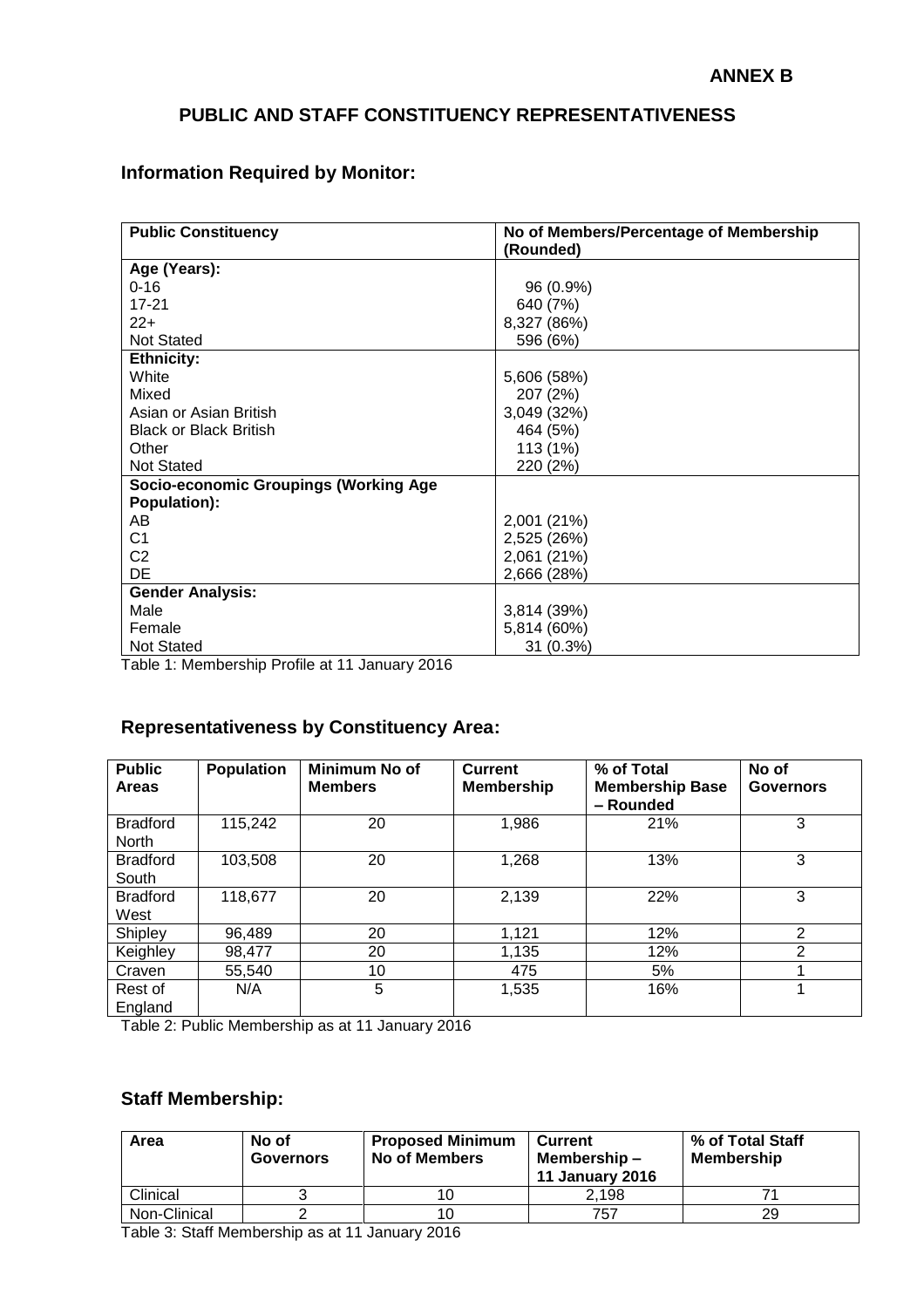## **PUBLIC AND STAFF CONSTITUENCY REPRESENTATIVENESS**

## **Information Required by Monitor:**

| <b>Public Constituency</b>                                          | No of Members/Percentage of Membership |
|---------------------------------------------------------------------|----------------------------------------|
|                                                                     | (Rounded)                              |
| Age (Years):                                                        |                                        |
| $0 - 16$                                                            | 96 (0.9%)                              |
| $17 - 21$                                                           | 640 (7%)                               |
| $22+$                                                               | 8,327 (86%)                            |
| <b>Not Stated</b>                                                   | 596 (6%)                               |
| <b>Ethnicity:</b>                                                   |                                        |
| White                                                               | 5,606 (58%)                            |
| Mixed                                                               | 207 (2%)                               |
| Asian or Asian British                                              | 3,049 (32%)                            |
| <b>Black or Black British</b>                                       | 464 (5%)                               |
| Other                                                               | 113 (1%)                               |
| <b>Not Stated</b>                                                   | 220 (2%)                               |
| <b>Socio-economic Groupings (Working Age</b>                        |                                        |
| Population):                                                        |                                        |
| AB                                                                  | 2,001 (21%)                            |
| C <sub>1</sub>                                                      | 2,525 (26%)                            |
| C <sub>2</sub>                                                      | 2,061 (21%)                            |
| DE                                                                  | 2,666 (28%)                            |
| <b>Gender Analysis:</b>                                             |                                        |
| Male                                                                | 3,814 (39%)                            |
| Female                                                              | 5,814 (60%)                            |
| <b>Not Stated</b><br>Toble 1: Momborobin Drofile of 11 Jonuary 2016 | 31 (0.3%)                              |

Table 1: Membership Profile at 11 January 2016

## **Representativeness by Constituency Area:**

| <b>Public</b><br><b>Areas</b>   | Population | <b>Minimum No of</b><br><b>Members</b> | <b>Current</b><br><b>Membership</b> | % of Total<br><b>Membership Base</b><br>- Rounded | No of<br><b>Governors</b> |
|---------------------------------|------------|----------------------------------------|-------------------------------------|---------------------------------------------------|---------------------------|
| <b>Bradford</b><br><b>North</b> | 115,242    | 20                                     | 1,986                               | 21%                                               | 3                         |
| <b>Bradford</b><br>South        | 103,508    | 20                                     | 1,268                               | 13%                                               | 3                         |
| <b>Bradford</b><br>West         | 118,677    | 20                                     | 2,139                               | 22%                                               | 3                         |
| Shipley                         | 96,489     | 20                                     | 1,121                               | 12%                                               | $\overline{2}$            |
| Keighley                        | 98,477     | 20                                     | 1,135                               | 12%                                               | $\mathfrak{p}$            |
| Craven                          | 55,540     | 10                                     | 475                                 | 5%                                                |                           |
| Rest of<br>England              | N/A        | 5                                      | 1,535                               | 16%                                               |                           |

Table 2: Public Membership as at 11 January 2016

## **Staff Membership:**

| Area         | No of<br><b>Governors</b> | <b>Proposed Minimum</b><br><b>No of Members</b> | <b>Current</b><br>Membership-<br><b>11 January 2016</b> | % of Total Staff<br><b>Membership</b> |
|--------------|---------------------------|-------------------------------------------------|---------------------------------------------------------|---------------------------------------|
| Clinical     |                           |                                                 | 2.198                                                   |                                       |
| Non-Clinical |                           |                                                 | 757                                                     | 29                                    |

Table 3: Staff Membership as at 11 January 2016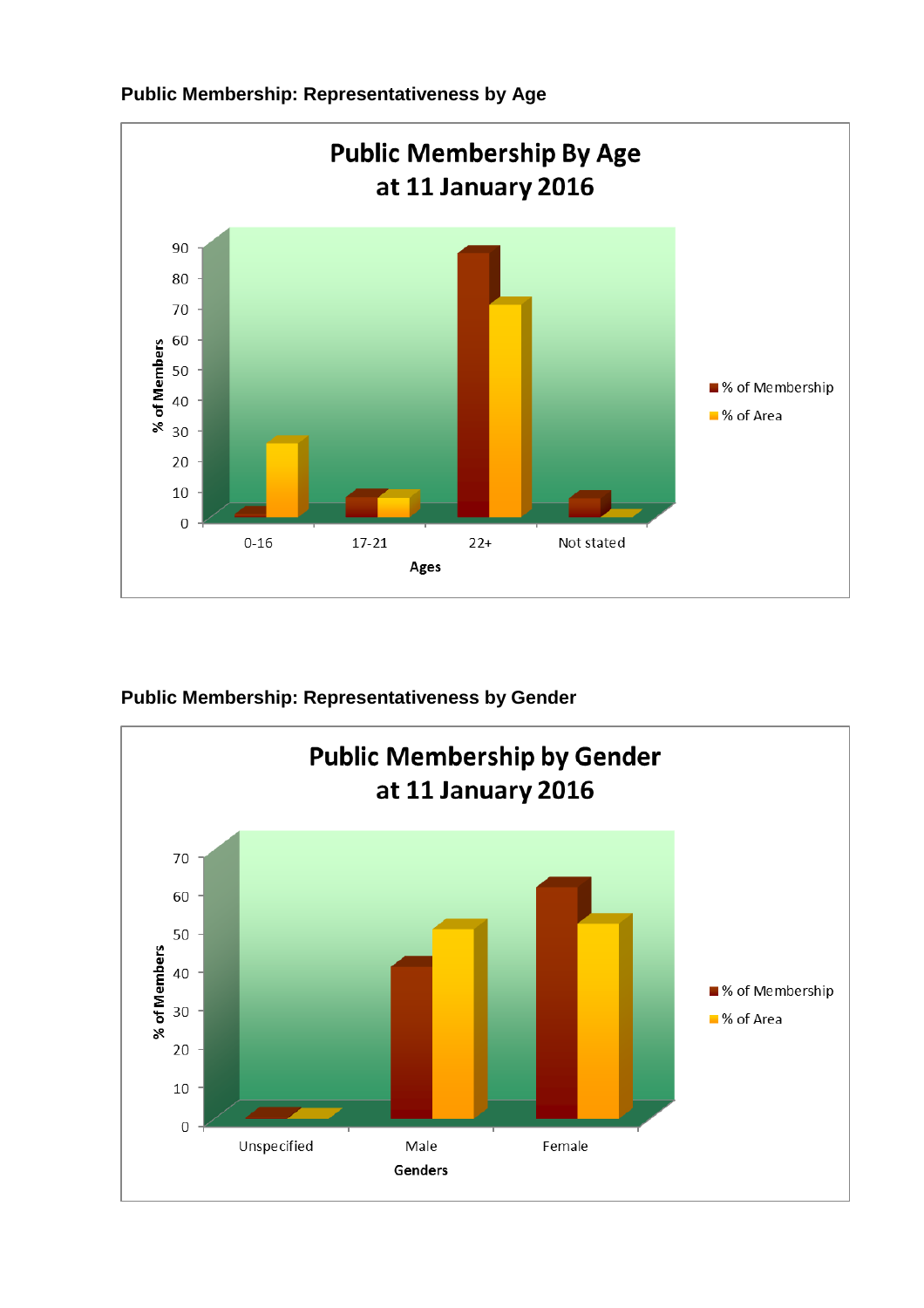

**Public Membership: Representativeness by Age**

**Public Membership: Representativeness by Gender**

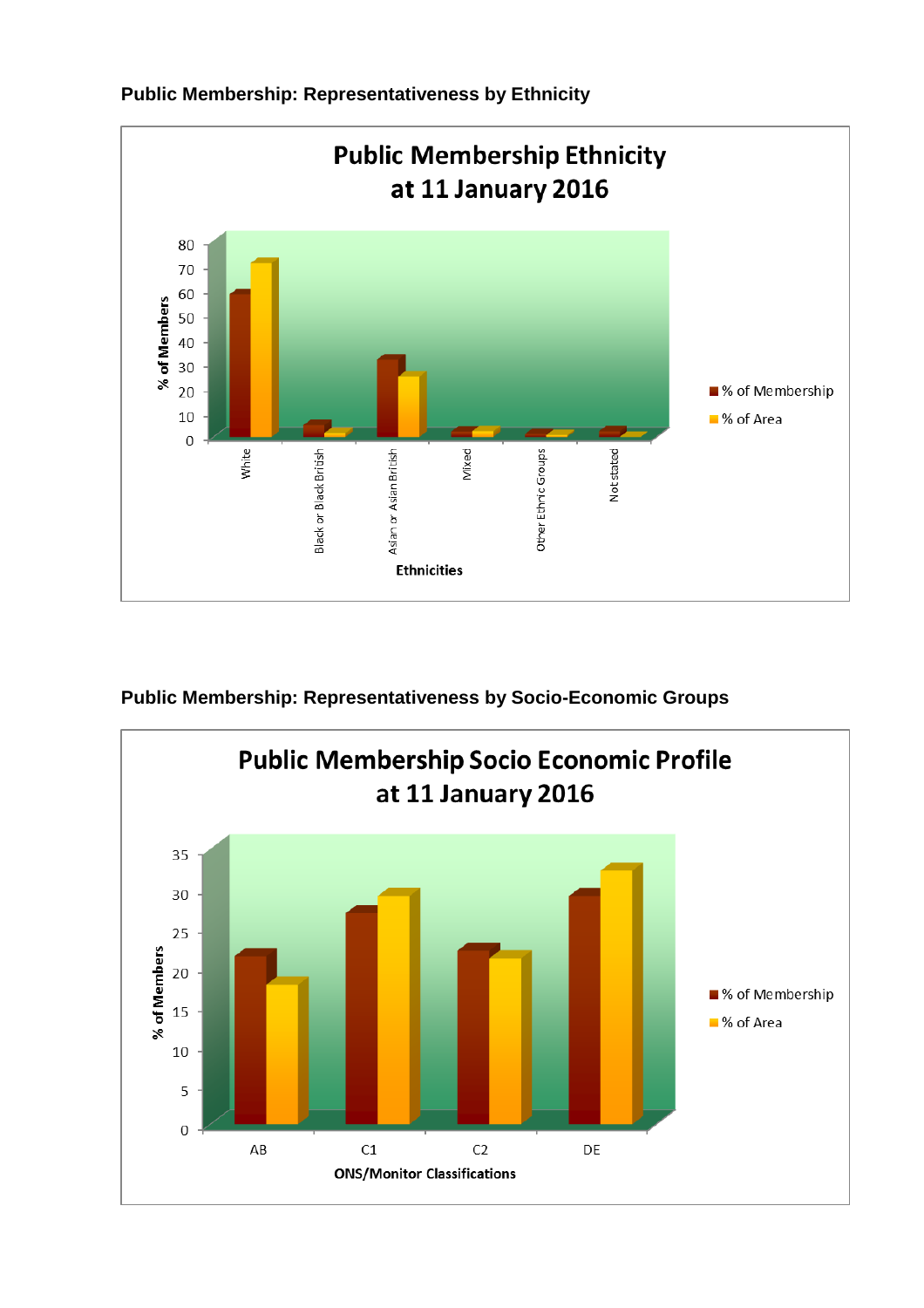

**Public Membership: Representativeness by Ethnicity**

**Public Membership: Representativeness by Socio-Economic Groups**